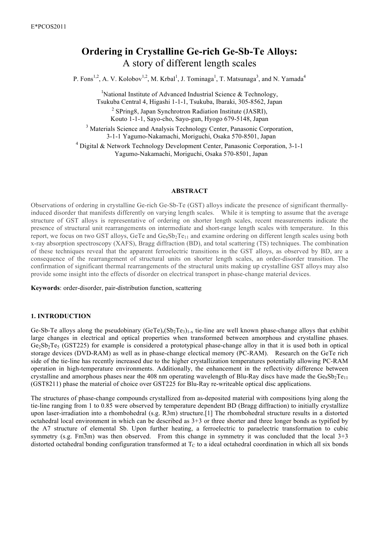# **Ordering in Crystalline Ge-rich Ge-Sb-Te Alloys:** A story of different length scales

P. Fons<sup>1,2</sup>, A. V. Kolobov<sup>1,2</sup>, M. Krbal<sup>1</sup>, J. Tominaga<sup>1</sup>, T. Matsunaga<sup>3</sup>, and N. Yamada<sup>4</sup>

<sup>1</sup>National Institute of Advanced Industrial Science & Technology, Tsukuba Central 4, Higashi 1-1-1, Tsukuba, Ibaraki, 305-8562, Japan

<sup>2</sup> SPring8, Japan Synchrotron Radiation Institute (JASRI), Kouto 1-1-1, Sayo-cho, Sayo-gun, Hyogo 679-5148, Japan

<sup>3</sup> Materials Science and Analysis Technology Center, Panasonic Corporation, 3-1-1 Yagumo-Nakamachi, Moriguchi, Osaka 570-8501, Japan

<sup>4</sup> Digital & Network Technology Development Center, Panasonic Corporation, 3-1-1 Yagumo-Nakamachi, Moriguchi, Osaka 570-8501, Japan

#### **ABSTRACT**

Observations of ordering in crystalline Ge-rich Ge-Sb-Te (GST) alloys indicate the presence of significant thermallyinduced disorder that manifests differently on varying length scales. While it is tempting to assume that the average structure of GST alloys is representative of ordering on shorter length scales, recent measurements indicate the presence of structural unit rearrangements on intermediate and short-range length scales with temperature. In this report, we focus on two GST alloys, GeTe and  $Ge_8Sb_2Te_{11}$  and examine ordering on different length scales using both x-ray absorption spectroscopy (XAFS), Bragg diffraction (BD), and total scattering (TS) techniques. The combination of these techniques reveal that the apparent ferroelectric transitions in the GST alloys, as observed by BD, are a consequence of the rearrangement of structural units on shorter length scales, an order-disorder transition. The confirmation of significant thermal rearrangements of the structural units making up crystalline GST alloys may also provide some insight into the effects of disorder on electrical transport in phase-change material devices.

**Keywords**: order-disorder, pair-distribution function, scattering

## **1. INTRODUCTION**

Ge-Sb-Te alloys along the pseudobinary  $(GeTe)_{x}(Sb_{2}Te_{3})_{1-x}$  tie-line are well known phase-change alloys that exhibit large changes in electrical and optical properties when transformed between amorphous and crystalline phases.  $Ge_2Sb_2Te_5$  (GST225) for example is considered a prototypical phase-change alloy in that it is used both in optical storage devices (DVD-RAM) as well as in phase-change electical memory (PC-RAM). Research on the GeTe rich side of the tie-line has recently increased due to the higher crystallization temperatures potentially allowing PC-RAM operation in high-temperature environments. Additionally, the enhancement in the reflectivity difference between crystalline and amorphous phases near the 408 nm operating wavelength of Blu-Ray discs have made the  $Ge_8Sb_2Te_{11}$ (GST8211) phase the material of choice over GST225 for Blu-Ray re-writeable optical disc applications.

The structures of phase-change compounds crystallized from as-deposited material with compositions lying along the tie-line ranging from 1 to 0.85 were observed by temperature dependent BD (Bragg diffraction) to initially crystallize upon laser-irradiation into a rhombohedral (s.g. R3m) structure.[1] The rhombohedral structure results in a distorted octahedral local environment in which can be described as 3+3 or three shorter and three longer bonds as typified by the A7 structure of elemental Sb. Upon further heating, a ferroelectric to paraelectric transformation to cubic symmetry (s.g. Fm<sup>3</sup>m) was then observed. From this change in symmetry it was concluded that the local 3+3 distorted octahedral bonding configuration transformed at  $T<sub>C</sub>$  to a ideal octahedral coordination in which all six bonds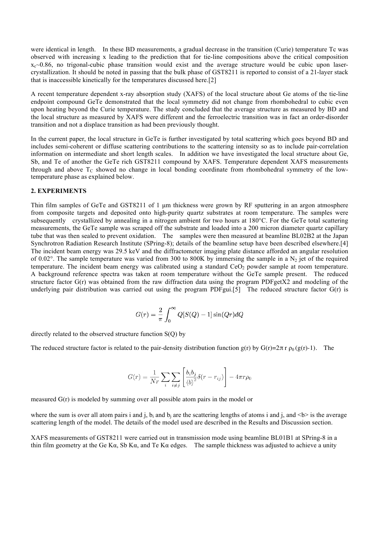were identical in length. In these BD measurements, a gradual decrease in the transition (Curie) temperature Tc was observed with increasing x leading to the prediction that for tie-line compositions above the critical composition  $x_c$  0.86, no trigonal-cubic phase transition would exist and the average structure would be cubic upon lasercrystallization. It should be noted in passing that the bulk phase of GST8211 is reported to consist of a 21-layer stack that is inaccessible kinetically for the temperatures discussed here.[2]

A recent temperature dependent x-ray absorption study (XAFS) of the local structure about Ge atoms of the tie-line endpoint compound GeTe demonstrated that the local symmetry did not change from rhombohedral to cubic even upon heating beyond the Curie temperature. The study concluded that the average structure as measured by BD and the local structure as measured by XAFS were different and the ferroelectric transition was in fact an order-disorder transition and not a displace transition as had been previously thought.

In the current paper, the local structure in GeTe is further investigated by total scattering which goes beyond BD and includes semi-coherent or diffuse scattering contributions to the scattering intensity so as to include pair-correlation information on intermediate and short length scales. In addition we have investigated the local structure about Ge, Sb, and Te of another the GeTe rich GST8211 compound by XAFS. Temperature dependent XAFS measurements through and above  $T_c$  showed no change in local bonding coordinate from rhombohedral symmetry of the lowtemperature phase as explained below.

#### **2. EXPERIMENTS**

Thin film samples of GeTe and GST8211 of 1  $\mu$ m thickness were grown by RF sputtering in an argon atmosphere from composite targets and deposited onto high-purity quartz substrates at room temperature. The samples were subsequently crystallized by annealing in a nitrogen ambient for two hours at 180°C. For the GeTe total scattering measurements, the GeTe sample was scraped off the substrate and loaded into a 200 micron diameter quartz capillary tube that was then sealed to prevent oxidation. The samples were then measured at beamline BL02B2 at the Japan Synchrotron Radiation Research Institute (SPring-8); details of the beamline setup have been described elsewhere.[4] The incident beam energy was 29.5 keV and the diffractometer imaging plate distance afforded an angular resolution of 0.02°. The sample temperature was varied from 300 to 800K by immersing the sample in a  $N_2$  jet of the required temperature. The incident beam energy was calibrated using a standard CeO<sub>2</sub> powder sample at room temperature. A background reference spectra was taken at room temperature without the GeTe sample present. The reduced structure factor G(r) was obtained from the raw diffraction data using the program PDFgetX2 and modeling of the underlying pair distribution was carried out using the program PDFgui.[5] The reduced structure factor G(r) is

$$
G(r)=\frac{2}{\pi}\int_0^\infty Q[S(Q)-1]\sin(Qr)dQ
$$

directly related to the observed structure function S(Q) by

The reduced structure factor is related to the pair-density distribution function  $g(r)$  by  $G(r)=2\pi r \rho_0 (g(r)-1)$ . The

$$
G(r) = \frac{1}{Nr} \sum_{i} \sum_{i \neq j} \left[ \frac{b_i b_j}{\langle b \rangle^2} \delta(r - r_{ij}) \right] - 4\pi r \rho_0
$$

measured G(r) is modeled by summing over all possible atom pairs in the model or

where the sum is over all atom pairs i and j, b<sub>i</sub> and b<sub>i</sub> are the scattering lengths of atoms i and j, and  $\langle b \rangle$  is the average scattering length of the model. The details of the model used are described in the Results and Discussion section.

XAFS measurements of GST8211 were carried out in transmission mode using beamline BL01B1 at SPring-8 in a thin film geometry at the Ge K $\alpha$ , Sb K $\alpha$ , and Te K $\alpha$  edges. The sample thickness was adjusted to achieve a unity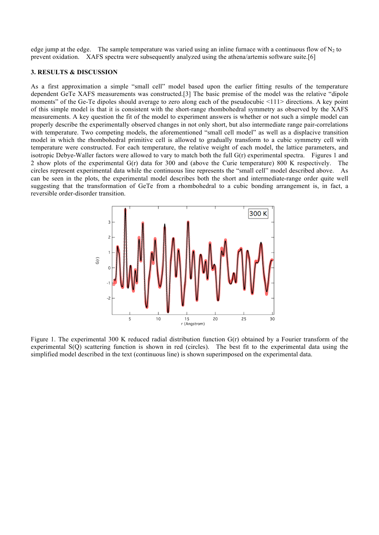edge jump at the edge. The sample temperature was varied using an inline furnace with a continuous flow of  $N_2$  to prevent oxidation. XAFS spectra were subsequently analyzed using the athena/artemis software suite.[6]

#### **3. RESULTS & DISCUSSION**

As a first approximation a simple "small cell" model based upon the earlier fitting results of the temperature dependent GeTe XAFS measurements was constructed.[3] The basic premise of the model was the relative "dipole moments" of the Ge-Te dipoles should average to zero along each of the pseudocubic <111> directions. A key point of this simple model is that it is consistent with the short-range rhombohedral symmetry as observed by the XAFS measurements. A key question the fit of the model to experiment answers is whether or not such a simple model can properly describe the experimentally observed changes in not only short, but also intermediate range pair-correlations with temperature. Two competing models, the aforementioned "small cell model" as well as a displacive transition model in which the rhombohedral primitive cell is allowed to gradually transform to a cubic symmetry cell with temperature were constructed. For each temperature, the relative weight of each model, the lattice parameters, and isotropic Debye-Waller factors were allowed to vary to match both the full G(r) experimental spectra. Figures 1 and 2 show plots of the experimental G(r) data for 300 and (above the Curie temperature) 800 K respectively. The circles represent experimental data while the continuous line represents the "small cell" model described above. As can be seen in the plots, the experimental model describes both the short and intermediate-range order quite well suggesting that the transformation of GeTe from a rhombohedral to a cubic bonding arrangement is, in fact, a reversible order-disorder transition.



Figure 1. The experimental 300 K reduced radial distribution function G(r) obtained by a Fourier transform of the experimental S(Q) scattering function is shown in red (circles). The best fit to the experimental data using the simplified model described in the text (continuous line) is shown superimposed on the experimental data.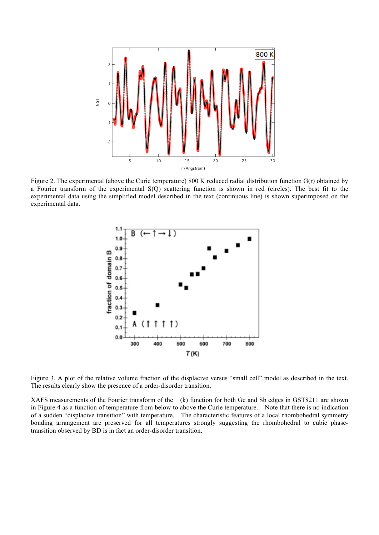

Figure 2. The experimental (above the Curie temperature) 800 K reduced radial distribution function G(r) obtained by a Fourier transform of the experimental S(Q) scattering function is shown in red (circles). The best fit to the experimental data using the simplified model described in the text (continuous line) is shown superimposed on the experimental data.



Figure 3. A plot of the relative volume fraction of the displacive versus "small cell" model as described in the text. The results clearly show the presence of a order-disorder transition.

XAFS measurements of the Fourier transform of the (k) function for both Ge and Sb edges in GST8211 are shown in Figure 4 as a function of temperature from below to above the Curie temperature. Note that there is no indication of a sudden "displacive transition" with temperature. The characteristic features of a local rhombohedral symmetry bonding arrangement are preserved for all temperatures strongly suggesting the rhombohedral to cubic phasetransition observed by BD is in fact an order-disorder transition.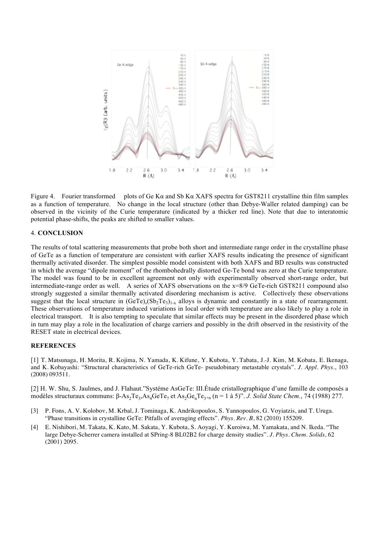

Figure 4. Fourier transformed plots of Ge Kα and Sb Kα XAFS spectra for GST8211 crystalline thin film samples as a function of temperature. No change in the local structure (other than Debye-Waller related damping) can be observed in the vicinity of the Curie temperature (indicated by a thicker red line). Note that due to interatomic potential phase-shifts, the peaks are shifted to smaller values.

### 4. **CONCLUSION**

The results of total scattering measurements that probe both short and intermediate range order in the crystalline phase of GeTe as a function of temperature are consistent with earlier XAFS results indicating the presence of significant thermally activated disorder. The simplest possible model consistent with both XAFS and BD results was constructed in which the average "dipole moment" of the rhombohedrally distorted Ge-Te bond was zero at the Curie temperature. The model was found to be in excellent agreement not only with experimentally observed short-range order, but intermediate-range order as well. A series of XAFS observations on the x=8/9 GeTe-rich GST8211 compound also strongly suggested a similar thermally activated disordering mechanism is active. Collectively these observations suggest that the local structure in  $(GeTe)_{x}(Sb_{2}Te_{3})_{1-x}$  alloys is dynamic and constantly in a state of rearrangement. These observations of temperature induced variations in local order with temperature are also likely to play a role in electrical transport. It is also tempting to speculate that similar effects may be present in the disordered phase which in turn may play a role in the localization of charge carriers and possibly in the drift observed in the resistivity of the RESET state in electrical devices.

#### **REFERENCES**

[1] T. Matsunaga, H. Morita, R. Kojima, N. Yamada, K. Kifune, Y. Kubota, Y. Tabata, J.-J. Kim, M. Kobata, E. Ikenaga, and K. Kobayashi: "Structural characteristics of GeTe-rich GeTe- pseudobinary metastable crystals". *J. Appl. Phys.*, 103 (2008) 093511.

[2] H. W. Shu, S. Jaulmes, and J. Flahaut."Systéme AsGeTe: III.Étude cristallographique d'une famille de composés a modèles structuraux communs: β-As<sub>2</sub>Te<sub>3</sub>,As<sub>4</sub>GeTe<sub>7</sub> et As<sub>2</sub>Ge<sub>n</sub>Te<sub>3+n</sub> (n = 1 à 5)". *J. Solid State Chem.*, 74 (1988) 277.

- [3] P. Fons, A. V. Kolobov, M. Krbal, J. Tominaga, K. Andrikopoulos, S. Yannopoulos, G. Voyiatzis, and T. Uruga. "Phase transitions in crystalline GeTe: Pitfalls of averaging effects". *Phys. Rev. B*, 82 (2010) 155209.
- [4] E. Nishibori, M. Takata, K. Kato, M. Sakata, Y. Kubota, S. Aoyagi, Y. Kuroiwa, M. Yamakata, and N. Ikeda. "The large Debye-Scherrer camera installed at SPring-8 BL02B2 for charge density studies". *J. Phys. Chem. Solids*, 62 (2001) 2095.